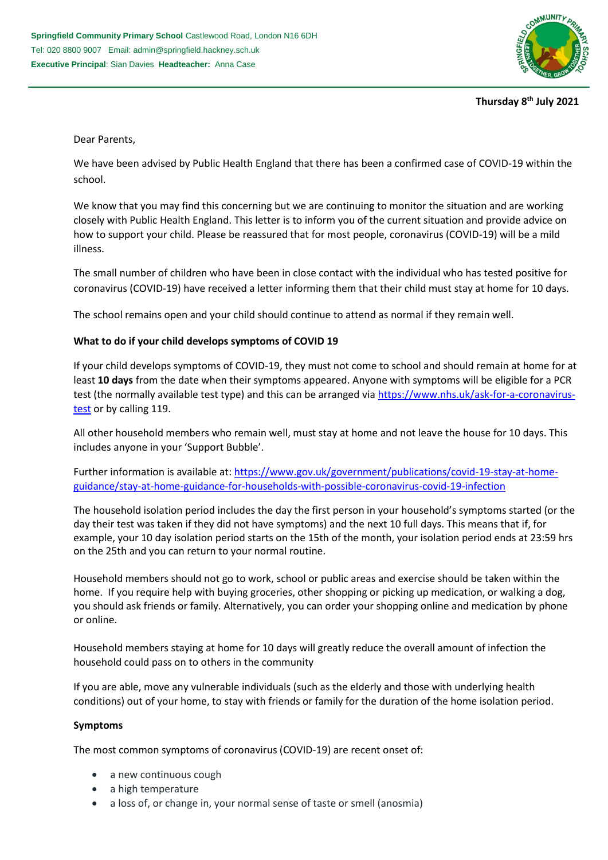

**Thursday 8 th July 2021**

Dear Parents,

We have been advised by Public Health England that there has been a confirmed case of COVID-19 within the school.

We know that you may find this concerning but we are continuing to monitor the situation and are working closely with Public Health England. This letter is to inform you of the current situation and provide advice on how to support your child. Please be reassured that for most people, coronavirus (COVID-19) will be a mild illness.

The small number of children who have been in close contact with the individual who has tested positive for coronavirus (COVID-19) have received a letter informing them that their child must stay at home for 10 days.

The school remains open and your child should continue to attend as normal if they remain well.

# **What to do if your child develops symptoms of COVID 19**

If your child develops symptoms of COVID-19, they must not come to school and should remain at home for at least **10 days** from the date when their symptoms appeared. Anyone with symptoms will be eligible for a PCR test (the normally available test type) and this can be arranged via [https://www.nhs.uk/ask-for-a-coronavirus](https://www.nhs.uk/ask-for-a-coronavirus-test)[test](https://www.nhs.uk/ask-for-a-coronavirus-test) or by calling 119.

All other household members who remain well, must stay at home and not leave the house for 10 days. This includes anyone in your 'Support Bubble'.

Further information is available at: [https://www.gov.uk/government/publications/covid-19-stay-at-home](https://www.gov.uk/government/publications/covid-19-stay-at-home-guidance/stay-at-home-guidance-for-households-with-possible-coronavirus-covid-19-infection)[guidance/stay-at-home-guidance-for-households-with-possible-coronavirus-covid-19-infection](https://www.gov.uk/government/publications/covid-19-stay-at-home-guidance/stay-at-home-guidance-for-households-with-possible-coronavirus-covid-19-infection)

The household isolation period includes the day the first person in your household's symptoms started (or the day their test was taken if they did not have symptoms) and the next 10 full days. This means that if, for example, your 10 day isolation period starts on the 15th of the month, your isolation period ends at 23:59 hrs on the 25th and you can return to your normal routine.

Household members should not go to work, school or public areas and exercise should be taken within the home. If you require help with buying groceries, other shopping or picking up medication, or walking a dog, you should ask friends or family. Alternatively, you can order your shopping online and medication by phone or online.

Household members staying at home for 10 days will greatly reduce the overall amount of infection the household could pass on to others in the community

If you are able, move any vulnerable individuals (such as the elderly and those with underlying health conditions) out of your home, to stay with friends or family for the duration of the home isolation period.

## **Symptoms**

The most common symptoms of coronavirus (COVID-19) are recent onset of:

- a new continuous cough
- a high temperature
- a loss of, or change in, your normal sense of taste or smell (anosmia)